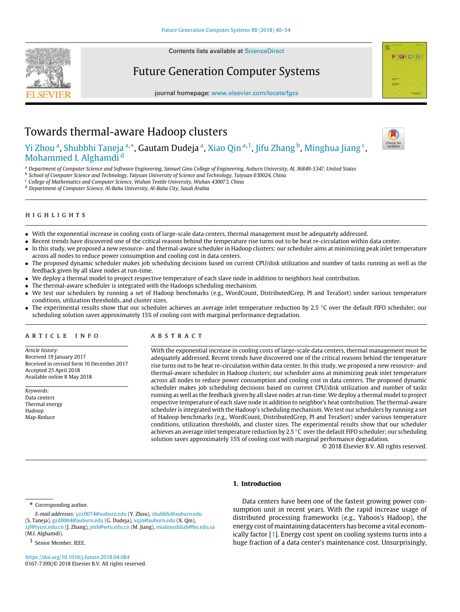

Contents lists available at [ScienceDirect](http://www.elsevier.com/locate/fgcs)

# Future Generation Computer Systems



journal homepage: [www.elsevier.com/locate/fgcs](http://www.elsevier.com/locate/fgcs)

# Towards thermal-aware Hadoop clusters



[Yi](#page-13-0) [Zhou](#page-13-0) <sup>[a](#page-0-0)</sup>, [Shubbhi](#page-13-1) [Taneja](#page-13-1) <sup>[a,](#page-0-0)</sup>[\\*](#page-0-1), **Gautam Dudeja <sup>a</sup>, Xia**o [Qin](#page-14-0) <sup>a, [1](#page-0-2)</sup>, [Jifu](#page-14-1) [Zhang](#page-14-1) <sup>[b](#page-0-3)</sup>, [Minghua](#page-14-2) [Jiang](#page-14-2) <sup>[c](#page-0-4)</sup>, [Mohammed I.](#page-14-3) [Alghamdi](#page-14-3)<sup>[d](#page-0-5)</sup>

<span id="page-0-0"></span><sup>a</sup> *Department of Computer Science and Software Engineering, Samuel Ginn College of Engineering, Auburn University, AL 36849-5347, United States*

<span id="page-0-3"></span>b *School of Computer Science and Technology, Taiyuan University of Science and Technology, Taiyuan 030024, China*

<span id="page-0-4"></span><sup>c</sup> *College of Mathematics and Computer Science, Wuhan Textile University, Wuhan 430073, China*

<span id="page-0-5"></span><sup>d</sup> *Department of Computer Science, Al-Baha University, Al-Baha City, Saudi Arabia*

# h i g h l i g h t s

- With the exponential increase in cooling costs of large-scale data centers, thermal management must be adequately addressed.
- Recent trends have discovered one of the critical reasons behind the temperature rise turns out to be heat re-circulation within data center. • In this study, we proposed a new resource- and thermal-aware scheduler in Hadoop clusters; our scheduler aims at minimizing peak inlet temperature
- across all nodes to reduce power consumption and cooling cost in data centers.
- The proposed dynamic scheduler makes job scheduling decisions based on current CPU/disk utilization and number of tasks running as well as the feedback given by all slave nodes at run-time.
- We deploy a thermal model to project respective temperature of each slave node in addition to neighbors heat contribution.
- The thermal-aware scheduler is integrated with the Hadoops scheduling mechanism.
- We test our schedulers by running a set of Hadoop benchmarks (e.g., WordCount, DistributedGrep, PI and TeraSort) under various temperature conditions, utilization thresholds, and cluster sizes.
- The experimental results show that our scheduler achieves an average inlet temperature reduction by 2.5 ℃ over the default FIFO scheduler; our scheduling solution saves approximately 15% of cooling cost with marginal performance degradation.

#### ARTICLE INFO

*Article history:* Received 19 January 2017 Received in revised form 16 December 2017 Accepted 25 April 2018 Available online 8 May 2018

*Keywords:* Data centers Thermal energy Hadoop Map-Reduce

# a b s t r a c t

With the exponential increase in cooling costs of large-scale data centers, thermal management must be adequately addressed. Recent trends have discovered one of the critical reasons behind the temperature rise turns out to be heat re-circulation within data center. In this study, we proposed a new resource- and thermal-aware scheduler in Hadoop clusters; our scheduler aims at minimizing peak inlet temperature across all nodes to reduce power consumption and cooling cost in data centers. The proposed dynamic scheduler makes job scheduling decisions based on current CPU/disk utilization and number of tasks running as well as the feedback given by all slave nodes at run-time. We deploy a thermal model to project respective temperature of each slave node in addition to neighbor's heat contribution. The thermal-aware scheduler is integrated with the Hadoop's scheduling mechanism. We test our schedulers by running a set of Hadoop benchmarks (e.g., WordCount, DistributedGrep, PI and TeraSort) under various temperature conditions, utilization thresholds, and cluster sizes. The experimental results show that our scheduler achieves an average inlet temperature reduction by 2.5 ◦C over the default FIFO scheduler; our scheduling solution saves approximately 15% of cooling cost with marginal performance degradation.

© 2018 Elsevier B.V. All rights reserved.

# **1. Introduction**

<span id="page-0-1"></span>\* Corresponding author.

<https://doi.org/10.1016/j.future.2018.04.084> 0167-739X/© 2018 Elsevier B.V. All rights reserved.

Data centers have been one of the fastest growing power consumption unit in recent years. With the rapid increase usage of distributed processing frameworks (e.g., Yahoos's Hadoop), the energy cost of maintaining datacenters has become a vital economically factor [\[1\]](#page-13-2). Energy cost spent on cooling systems turns into a huge fraction of a data center's maintenance cost. Unsurprisingly,

*E-mail addresses:* [yzz0074@auburn.edu](mailto:yzz0074@auburn.edu) (Y. Zhou), [shubbhi@auburn.edu](mailto:shubbhi@auburn.edu) (S. Taneja), [gzd0004@auburn.edu](mailto:gzd0004@auburn.edu) (G. Dudeja), [xqin@auburn.edu](mailto:xqin@auburn.edu) (X. Qin), [zjf@tyust.edu.cn](mailto:zjf@tyust.edu.cn) (J. Zhang), [jmh@wtu.edu.cn](mailto:jmh@wtu.edu.cn) (M. Jiang), [mialmushilah@bu.edu.sa](mailto:mialmushilah@bu.edu.sa) (M.I. Alghamdi).

<span id="page-0-2"></span><sup>1</sup> Senior Member, IEEE.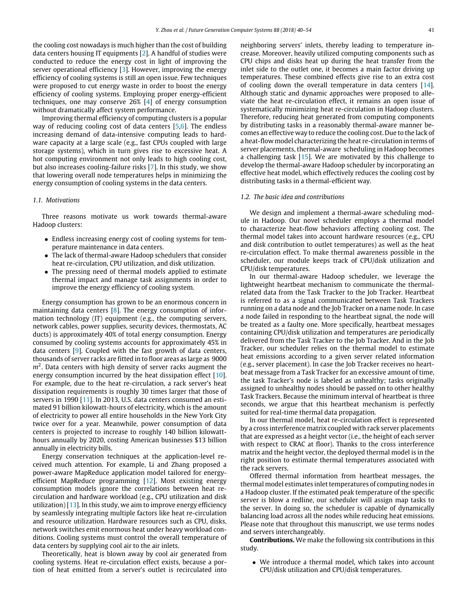the cooling cost nowadays is much higher than the cost of building data centers housing IT equipments [\[2\]](#page-13-3). A handful of studies were conducted to reduce the energy cost in light of improving the server operational efficiency [\[3\]](#page-13-4). However, improving the energy efficiency of cooling systems is still an open issue. Few techniques were proposed to cut energy waste in order to boost the energy efficiency of cooling systems. Employing proper energy-efficient techniques, one may conserve 26% [\[4\]](#page-13-5) of energy consumption without dramatically affect system performance.

Improving thermal efficiency of computing clusters is a popular way of reducing cooling cost of data centers [\[5,](#page-13-6)[6\]](#page-13-7). The endless increasing demand of data-intensive computing leads to hardware capacity at a large scale (e.g., fast CPUs coupled with large storage systems), which in turn gives rise to excessive heat. A hot computing environment not only leads to high cooling cost, but also increases cooling-failure risks [\[7\]](#page-13-8). In this study, we show that lowering overall node temperatures helps in minimizing the energy consumption of cooling systems in the data centers.

#### *1.1. Motivations*

Three reasons motivate us work towards thermal-aware Hadoop clusters:

- Endless increasing energy cost of cooling systems for temperature maintenance in data centers.
- The lack of thermal-aware Hadoop schedulers that consider heat re-circulation, CPU utilization, and disk utilization.
- The pressing need of thermal models applied to estimate thermal impact and manage task assignments in order to improve the energy efficiency of cooling system.

Energy consumption has grown to be an enormous concern in maintaining data centers [\[8\]](#page-13-9). The energy consumption of information technology (IT) equipment (e.g., the computing servers, network cables, power supplies, security devices, thermostats, AC ducts) is approximately 40% of total energy consumption. Energy consumed by cooling systems accounts for approximately 45% in data centers [\[9\]](#page-13-10). Coupled with the fast growth of data centers, thousands of server racks are fitted in to floor areas as large as 9000 *m*<sup>2</sup> . Data centers with high density of server racks augment the energy consumption incurred by the heat dissipation effect [\[10\]](#page-13-11). For example, due to the heat re-circulation, a rack server's heat dissipation requirements is roughly 30 times larger that those of servers in 1990 [\[11\]](#page-13-12). In 2013, U.S. data centers consumed an estimated 91 billion kilowatt-hours of electricity, which is the amount of electricity to power all entire households in the New York City twice over for a year. Meanwhile, power consumption of data centers is projected to increase to roughly 140 billion kilowatthours annually by 2020, costing American businesses \$13 billion annually in electricity bills.

Energy conservation techniques at the application-level received much attention. For example, Li and Zhang proposed a power-aware MapReduce application model tailored for energyefficient MapReduce programming [\[12\]](#page-13-13). Most existing energy consumption models ignore the correlations between heat recirculation and hardware workload (e.g., CPU utilization and disk utilization)  $[13]$ . In this study, we aim to improve energy efficiency by seamlessly integrating multiple factors like heat re-circulation and resource utilization. Hardware resources such as CPU, disks, network switches emit enormous heat under heavy workload conditions. Cooling systems must control the overall temperature of data centers by supplying cool air to the air inlets.

Theoretically, heat is blown away by cool air generated from cooling systems. Heat re-circulation effect exists, because a portion of heat emitted from a server's outlet is recirculated into

neighboring servers' inlets, thereby leading to temperature increase. Moreover, heavily utilized computing components such as CPU chips and disks heat up during the heat transfer from the inlet side to the outlet one, it becomes a main factor driving up temperatures. These combined effects give rise to an extra cost of cooling down the overall temperature in data centers [\[14\]](#page-13-15). Although static and dynamic approaches were proposed to alleviate the heat re-circulation effect, it remains an open issue of systematically minimizing heat re-circulation in Hadoop clusters. Therefore, reducing heat generated from computing components by distributing tasks in a reasonably thermal-aware manner becomes an effective way to reduce the cooling cost. Due to the lack of a heat-flow model characterizing the heat re-circulation in terms of server placements, thermal-aware scheduling in Hadoop becomes a challenging task [\[15\]](#page-13-16). We are motivated by this challenge to develop the thermal-aware Hadoop scheduler by incorporating an effective heat model, which effectively reduces the cooling cost by distributing tasks in a thermal-efficient way.

#### *1.2. The basic idea and contributions*

We design and implement a thermal-aware scheduling module in Hadoop. Our novel scheduler employs a thermal model to characterize heat-flow behaviors affecting cooling cost. The thermal model takes into account hardware resources (e.g., CPU and disk contribution to outlet temperatures) as well as the heat re-circulation effect. To make thermal awareness possible in the scheduler, our module keeps track of CPU/disk utilization and CPU/disk temperatures.

In our thermal-aware Hadoop scheduler, we leverage the lightweight heartbeat mechanism to communicate the thermalrelated data from the Task Tracker to the Job Tracker. Heartbeat is referred to as a signal communicated between Task Trackers running on a data node and the Job Tracker on a name node. In case a node failed in responding to the heartbeat signal, the node will be treated as a faulty one. More specifically, heartbeat messages containing CPU/disk utilization and temperatures are periodically delivered from the Task Tracker to the Job Tracker. And in the Job Tracker, our scheduler relies on the thermal model to estimate heat emissions according to a given server related information (e.g., server placement). In case the Job Tracker receives no heartbeat message from a Task Tracker for an excessive amount of time, the task Tracker's node is labeled as unhealthy; tasks originally assigned to unhealthy nodes should be passed on to other healthy Task Trackers. Because the minimum interval of heartbeat is three seconds, we argue that this heartbeat mechanism is perfectly suited for real-time thermal data propagation.

In our thermal model, heat re-circulation effect is represented by a cross interference matrix coupled with rack server placements that are expressed as a height vector (i.e., the height of each server with respect to CRAC at floor). Thanks to the cross interference matrix and the height vector, the deployed thermal model is in the right position to estimate thermal temperatures associated with the rack servers.

Offered thermal information from heartbeat messages, the thermal model estimates inlet temperatures of computing nodes in a Hadoop cluster. If the estimated peak temperature of the specific server is blow a redline, our scheduler will assign map tasks to the server. In doing so, the scheduler is capable of dynamically balancing load across all the nodes while reducing heat emissions. Please note that throughout this manuscript, we use terms nodes and servers interchangeably.

**Contributions.** We make the following six contributions in this study.

• We introduce a thermal model, which takes into account CPU/disk utilization and CPU/disk temperatures.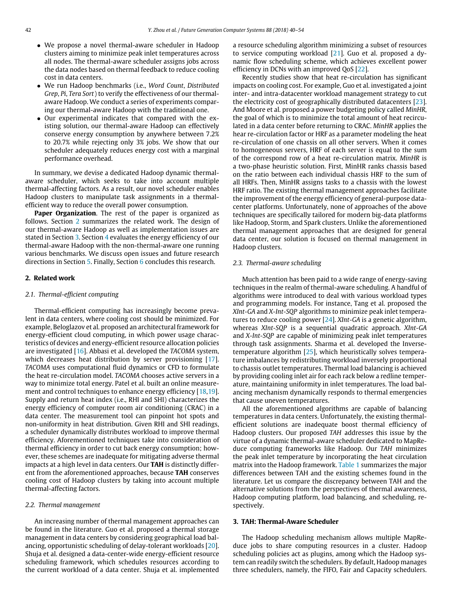- We propose a novel thermal-aware scheduler in Hadoop clusters aiming to minimize peak inlet temperatures across all nodes. The thermal-aware scheduler assigns jobs across the data nodes based on thermal feedback to reduce cooling cost in data centers.
- We run Hadoop benchmarks (i.e., *Word Count*, *Distributed Grep*, *Pi*, *Tera Sort*) to verify the effectiveness of our thermalaware Hadoop. We conduct a series of experiments comparing our thermal-aware Hadoop with the traditional one.
- Our experimental indicates that compared with the existing solution, our thermal-aware Hadoop can effectively conserve energy consumption by anywhere between 7.2% to 20.7% while rejecting only 3% jobs. We show that our scheduler adequately reduces energy cost with a marginal performance overhead.

In summary, we devise a dedicated Hadoop dynamic thermalaware scheduler, which seeks to take into account multiple thermal-affecting factors. As a result, our novel scheduler enables Hadoop clusters to manipulate task assignments in a thermalefficient way to reduce the overall power consumption.

**Paper Organization.** The rest of the paper is organized as follows. Section [2](#page-2-0) summarizes the related work. The design of our thermal-aware Hadoop as well as implementation issues are stated in Section [3.](#page-2-1) Section [4](#page-7-0) evaluates the energy efficiency of our thermal-aware Hadoop with the non-thermal-aware one running various benchmarks. We discuss open issues and future research directions in Section [5.](#page-12-0) Finally, Section [6](#page-12-1) concludes this research.

#### <span id="page-2-0"></span>**2. Related work**

#### *2.1. Thermal-efficient computing*

Thermal-efficient computing has increasingly become prevalent in data centers, where cooling cost should be minimized. For example, Beloglazov et al. proposed an architectural framework for energy-efficient cloud computing, in which power usage characteristics of devices and energy-efficient resource allocation policies are investigated [\[16\]](#page-13-17). Abbasi et al. developed the *TACOMA* system, which decreases heat distribution by server provisioning [\[17\]](#page-13-18). *TACOMA* uses computational fluid dynamics or CFD to formulate the heat re-circulation model. *TACOMA* chooses active servers in a way to minimize total energy. Patel et al. built an online measure-ment and control techniques to enhance energy efficiency [\[18](#page-13-19)[,19\]](#page-13-20). Supply and return heat index (i.e., RHI and SHI) characterizes the energy efficiency of computer room air conditioning (CRAC) in a data center. The measurement tool can pinpoint hot spots and non-uniformity in heat distribution. Given RHI and SHI readings, a scheduler dynamically distributes workload to improve thermal efficiency. Aforementioned techniques take into consideration of thermal efficiency in order to cut back energy consumption; however, these schemes are inadequate for mitigating adverse thermal impacts at a high level in data centers. Our **TAH** is distinctly different from the aforementioned approaches, because **TAH** conserves cooling cost of Hadoop clusters by taking into account multiple thermal-affecting factors.

#### *2.2. Thermal management*

An increasing number of thermal management approaches can be found in the literature. Guo et al. proposed a thermal storage management in data centers by considering geographical load balancing, opportunistic scheduling of delay-tolerant workloads [\[20\]](#page-13-21). Shuja et al. designed a data-center-wide energy-efficient resource scheduling framework, which schedules resources according to the current workload of a data center. Shuja et al. implemented a resource scheduling algorithm minimizing a subset of resources to service computing workload [\[21\]](#page-13-22). Guo et al. proposed a dynamic flow scheduling scheme, which achieves excellent power efficiency in DCNs with an improved QoS [\[22\]](#page-13-23).

Recently studies show that heat re-circulation has significant impacts on cooling cost. For example, Guo et al. investigated a joint inter- and intra-datacenter workload management strategy to cut the electricity cost of geographically distributed datacenters [\[23\]](#page-13-24). And Moore et al. proposed a power budgeting policy called *MinHR*, the goal of which is to minimize the total amount of heat recirculated in a data center before returning to CRAC. *MinHR* applies the hear re-circulation factor or HRF as a parameter modeling the heat re-circulation of one chassis on all other servers. When it comes to homogeneous servers, HRF of each server is equal to the sum of the correspond row of a heat re-circulation matrix. *MinHR* is a two-phase heuristic solution. First, MinHR ranks chassis based on the ratio between each individual chassis HRF to the sum of all HRFs. Then, MinHR assigns tasks to a chassis with the lowest HRF ratio. The existing thermal management approaches facilitate the improvement of the energy efficiency of general-purpose datacenter platforms. Unfortunately, none of approaches of the above techniques are specifically tailored for modern big-data platforms like Hadoop, Storm, and Spark clusters. Unlike the aforementioned thermal management approaches that are designed for general data center, our solution is focused on thermal management in Hadoop clusters.

# *2.3. Thermal-aware scheduling*

Much attention has been paid to a wide range of energy-saving techniques in the realm of thermal-aware scheduling. A handful of algorithms were introduced to deal with various workload types and programming models. For instance, Tang et al. proposed the *XInt-GA* and *X-Int-SQP* algorithms to minimize peak inlet temperatures to reduce cooling power [\[24\]](#page-13-25). *XInt-GA* is a genetic algorithm, whereas *XInt-SQP* is a sequential quadratic approach. *XInt-GA* and *X-Int-SQP* are capable of minimizing peak inlet temperatures through task assignments. Sharma et al. developed the Inversetemperature algorithm [\[25\]](#page-13-26), which heuristically solves temperature imbalances by redistributing workload inversely proportional to chassis outlet temperatures. Thermal load balancing is achieved by providing cooling inlet air for each rack below a redline temperature, maintaining uniformity in inlet temperatures. The load balancing mechanism dynamically responds to thermal emergencies that cause uneven temperatures.

All the aforementioned algorithms are capable of balancing temperatures in data centers. Unfortunately, the existing thermalefficient solutions are inadequate boost thermal efficiency of Hadoop clusters. Our proposed *TAH* addresses this issue by the virtue of a dynamic thermal-aware scheduler dedicated to MapReduce computing frameworks like Hadoop. Our *TAH* minimizes the peak inlet temperature by incorporating the heat circulation matrix into the Hadoop framework. [Table 1](#page-3-0) summarizes the major differences between TAH and the existing schemes found in the literature. Let us compare the discrepancy between TAH and the alternative solutions from the perspectives of thermal awareness, Hadoop computing platform, load balancing, and scheduling, respectively.

#### <span id="page-2-1"></span>**3. TAH: Thermal-Aware Scheduler**

The Hadoop scheduling mechanism allows multiple MapReduce jobs to share computing resources in a cluster. Hadoop scheduling policies act as plugins, among which the Hadoop system can readily switch the schedulers. By default, Hadoop manages three schedulers, namely, the FIFO, Fair and Capacity schedulers.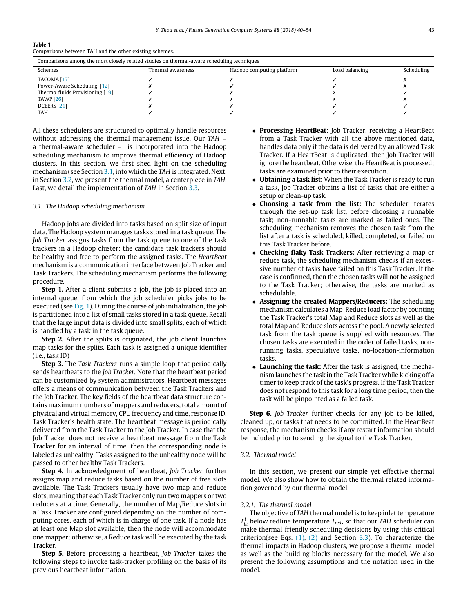#### <span id="page-3-0"></span>**Table 1**

Comparisons between TAH and the other existing schemes.

|  |  | Comparisons among the most closely related studies on thermal-aware scheduling techniques |
|--|--|-------------------------------------------------------------------------------------------|
|--|--|-------------------------------------------------------------------------------------------|

| .                               |                   |                           |                |            |  |  |  |
|---------------------------------|-------------------|---------------------------|----------------|------------|--|--|--|
| Schemes                         | Thermal awareness | Hadoop computing platform | Load balancing | Scheduling |  |  |  |
| TACOMA [17]                     |                   |                           |                |            |  |  |  |
| Power-Aware Scheduling [12]     |                   |                           |                |            |  |  |  |
| Thermo-fluids Provisioning [19] |                   |                           |                |            |  |  |  |
| <b>TAWP</b> [26]                |                   |                           |                |            |  |  |  |
| DCEERS [21]                     |                   |                           |                |            |  |  |  |
| TAH                             |                   |                           |                |            |  |  |  |

All these schedulers are structured to optimally handle resources without addressing the thermal management issue. Our *TAH* – a thermal-aware scheduler – is incorporated into the Hadoop scheduling mechanism to improve thermal efficiency of Hadoop clusters. In this section, we first shed light on the scheduling mechanism (see Section [3.1,](#page-3-1) into which the *TAH* is integrated. Next, in Section [3.2,](#page-3-2) we present the thermal model, a centerpiece in *TAH*. Last, we detail the implementation of *TAH* in Section [3.3.](#page-5-0)

#### <span id="page-3-1"></span>*3.1. The Hadoop scheduling mechanism*

Hadoop jobs are divided into tasks based on split size of input data. The Hadoop system manages tasks stored in a task queue. The *Job Tracker* assigns tasks from the task queue to one of the task trackers in a Hadoop cluster; the candidate task trackers should be healthy and free to perform the assigned tasks. The *HeartBeat* mechanism is a communication interface between Job Tracker and Task Trackers. The scheduling mechanism performs the following procedure.

**Step 1.** After a client submits a job, the job is placed into an internal queue, from which the job scheduler picks jobs to be executed (see [Fig. 1\)](#page-4-0). During the course of job initialization, the job is partitioned into a list of small tasks stored in a task queue. Recall that the large input data is divided into small splits, each of which is handled by a task in the task queue.

**Step 2.** After the splits is originated, the job client launches map tasks for the splits. Each task is assigned a unique identifier  $(i.e., task ID)$ 

**Step 3.** The *Task Trackers* runs a simple loop that periodically sends heartbeats to the *Job Tracker*. Note that the heartbeat period can be customized by system administrators. Heartbeat messages offers a means of communication between the Task Trackers and the Job Tracker. The key fields of the heartbeat data structure contains maximum numbers of mappers and reducers, total amount of physical and virtual memory, CPU frequency and time, response ID, Task Tracker's health state. The heartbeat message is periodically delivered from the Task Tracker to the Job Tracker. In case that the Job Tracker does not receive a heartbeat message from the Task Tracker for an interval of time, then the corresponding node is labeled as unhealthy. Tasks assigned to the unhealthy node will be passed to other healthy Task Trackers.

**Step 4.** In acknowledgment of heartbeat, *Job Tracker* further assigns map and reduce tasks based on the number of free slots available. The Task Trackers usually have two map and reduce slots, meaning that each Task Tracker only run two mappers or two reducers at a time. Generally, the number of Map/Reduce slots in a Task Tracker are configured depending on the number of computing cores, each of which is in charge of one task. If a node has at least one Map slot available, then the node will accommodate one mapper; otherwise, a Reduce task will be executed by the task Tracker.

**Step 5.** Before processing a heartbeat, *Job Tracker* takes the following steps to invoke task-tracker profiling on the basis of its previous heartbeat information.

- **Processing HeartBeat**: Job Tracker, receiving a HeartBeat from a Task Tracker with all the above mentioned data, handles data only if the data is delivered by an allowed Task Tracker. If a HeartBeat is duplicated, then Job Tracker will ignore the heartbeat. Otherwise, the HeartBeat is processed; tasks are examined prior to their execution.
- **Obtaining a task list:** When the Task Tracker is ready to run a task, Job Tracker obtains a list of tasks that are either a setup or clean-up task.
- **Choosing a task from the list:** The scheduler iterates through the set-up task list, before choosing a runnable task; non-runnable tasks are marked as failed ones. The scheduling mechanism removes the chosen task from the list after a task is scheduled, killed, completed, or failed on this Task Tracker before.
- **Checking flaky Task Trackers:** After retrieving a map or reduce task, the scheduling mechanism checks if an excessive number of tasks have failed on this Task Tracker. If the case is confirmed, then the chosen tasks will not be assigned to the Task Tracker; otherwise, the tasks are marked as schedulable.
- **Assigning the created Mappers/Reducers:** The scheduling mechanism calculates a Map-Reduce load factor by counting the Task Tracker's total Map and Reduce slots as well as the total Map and Reduce slots across the pool. A newly selected task from the task queue is supplied with resources. The chosen tasks are executed in the order of failed tasks, nonrunning tasks, speculative tasks, no-location-information tasks.
- **Launching the task:** After the task is assigned, the mechanism launches the task in the Task Tracker while kicking off a timer to keep track of the task's progress. If the Task Tracker does not respond to this task for a long time period, then the task will be pinpointed as a failed task.

**Step 6.** *Job Tracker* further checks for any job to be killed, cleaned up, or tasks that needs to be committed. In the HeartBeat response, the mechanism checks if any restart information should be included prior to sending the signal to the Task Tracker.

# <span id="page-3-2"></span>*3.2. Thermal model*

In this section, we present our simple yet effective thermal model. We also show how to obtain the thermal related information governed by our thermal model.

#### *3.2.1. The thermal model*

The objective of *TAH* thermal model is to keep inlet temperature *T*  $\mathbf{r}_{in}^i$  below redline temperature  $T_{red}$ , so that our *TAH* scheduler can make thermal-friendly scheduling decisions by using this critical criterion(see Eqs.  $(1)$ ,  $(2)$  and Section [3.3\)](#page-5-0). To characterize the thermal impacts in Hadoop clusters, we propose a thermal model as well as the building blocks necessary for the model. We also present the following assumptions and the notation used in the model.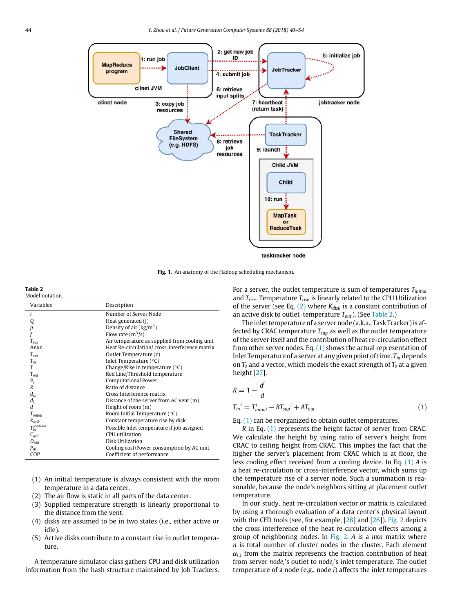<span id="page-4-0"></span>

**Fig. 1.** An anatomy of the Hadoop scheduling mechanism.

Model notation. Variables Description *i* Number of Server Node<br>
Q Heat generated (J) *Q* Heat generated (J) *p* Density of air (kg/m<sup>3</sup>)  $f$  Flow rate  $(m^3/s)$ *T*<sub>sup</sub> Air temperature as supplied from cooling unit *Tout* Outlet Temperature (c) *Tin* Inlet Temperature (◦C) *T* Change/Rise in temperature (°C) *Tred* Red Line/Threshold temperature *P<sup>c</sup>* Computational Power *R* Ratio of distance *di*,*<sup>j</sup>* Cross Interference matrix

| Anxn                                       | Heat Re-circulation/ cross-interference matrix |
|--------------------------------------------|------------------------------------------------|
| $T_{out}$                                  | Outlet Temperature (c)                         |
| $T_{in}$                                   | Inlet Temperature ( $\degree$ C)               |
| T                                          | Change/Rise in temperature $(^{\circ}C)$       |
| $T_{red}$                                  | Red Line/Threshold temperature                 |
| $P_c$                                      | <b>Computational Power</b>                     |
| R                                          | Ratio of distance                              |
| $d_{i,j}$                                  | Cross Interference matrix                      |
| $d_i$                                      | Distance of the server from AC vent $(m)$      |
| d                                          | Height of room $(m)$                           |
| $T_{initial}$                              | Room Initial Temperature ( $\degree$ C)        |
|                                            | Constant temperature rise by disk              |
| K <sub>disk</sub><br>T <sup>possible</sup> | Possible Inlet temperature if job assigned     |
| $C_{util}$                                 | CPU utilization                                |
| $D_{util}$                                 | Disk Utilization                               |
| P <sub>AC</sub>                            | Cooling cost/Power consumption by AC unit      |
| COP                                        | Coefficient of performance                     |

- (1) An initial temperature is always consistent with the room temperature in a data center.
- (2) The air flow is static in all parts of the data center.
- (3) Supplied temperature strength is linearly proportional to the distance from the vent.
- (4) disks are assumed to be in two states (i.e., either active or idle).
- (5) Active disks contribute to a constant rise in outlet temperature.

A temperature simulator class gathers CPU and disk utilization information from the hash structure maintained by Job Trackers.

For a server, the outlet temperature is sum of temperatures *Tinitial* and *Trise*. Temperature *Trise* is linearly related to the CPU Utilization of the server (see Eq. [\(2\)](#page-5-1) where *Kdisk* is a constant contribution of an active disk to outlet temperature *Tout*). (See [Table 2.](#page-4-2))

The inlet temperature of a server node (a.k.a., Task Tracker) is affected by CRAC temperature *Tsup* as well as the outlet temperature of the server itself and the contribution of heat re-circulation effect from other server nodes. Eq.  $(1)$  shows the actual representation of Inlet Temperature of a server at any given point of time. *Tin* depends on  $T_s$  and a vector, which models the exact strength of  $T_s$  at a given height [\[27\]](#page-13-28).

$$
R = 1 - \frac{d^{i}}{d}
$$
  

$$
T_{in}^{i} = T_{initial}^{i} - RT_{sup}^{i} + AT_{out}
$$
 (1)

<span id="page-4-1"></span>Eq. [\(1\)](#page-4-1) can be reorganized to obtain outlet temperatures.

*R* in Eq. [\(1\)](#page-4-1) represents the height factor of server from CRAC. We calculate the height by using ratio of server's height from CRAC to ceiling height from CRAC. This implies the fact that the higher the server's placement from CRAC which is at floor, the less cooling effect received from a cooling device. In Eq. [\(1\)](#page-4-1) *A* is a heat re-circulation or cross-interference vector, which sums up the temperature rise of a server node. Such a summation is reasonable, because the node's neighbors sitting at placement outlet temperature.

In our study, heat re-circulation vector or matrix is calculated by using a thorough evaluation of a data center's physical layout with the CFD tools (see, for example, [\[28\]](#page-13-29) and [\[26\]](#page-13-27)). [Fig. 2](#page-5-2) depicts the cross interference of the heat re-circulation effects among a group of neighboring nodes. In [Fig. 2,](#page-5-2) *A* is a *n*x*n* matrix where *n* is total number of cluster nodes in the cluster. Each element  $\alpha_{i,j}$  from the matrix represents the fraction contribution of heat from server *node*<sup>*i*</sup>s outlet to *node<sub>j</sub>*'s inlet temperature. The outlet temperature of a node (e.g., node *i*) affects the inlet temperatures

<span id="page-4-2"></span>**Table 2**

 $T_{in}^{pos}$ <br>*C<sub>util</sub> possible*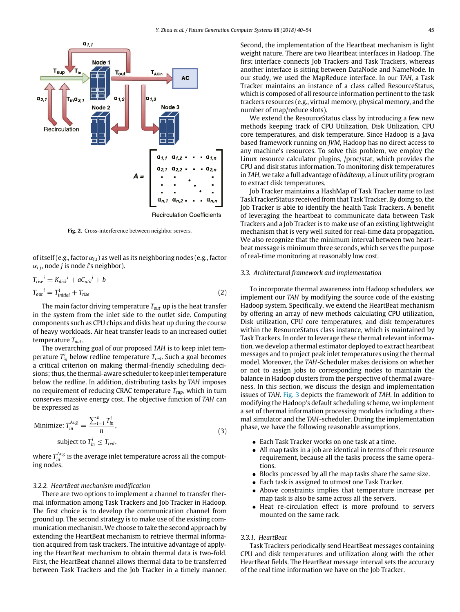<span id="page-5-2"></span>

**Fig. 2.** Cross-interference between neighbor servers.

of itself (e.g., factor α*i*,*i*) as well as its neighboring nodes (e.g., factor α*i*,*<sup>j</sup>* , node *j* is node *i*'s neighbor).

<span id="page-5-1"></span>
$$
T_{rise}^{i} = K_{disk}^{i} + aC_{util}^{i} + b
$$
  
\n
$$
T_{out}^{i} = T_{initial}^{i} + T_{rise}
$$
 (2)

The main factor driving temperature *Tout* up is the heat transfer in the system from the inlet side to the outlet side. Computing components such as CPU chips and disks heat up during the course of heavy workloads. Air heat transfer leads to an increased outlet temperature *Tout*.

The overarching goal of our proposed *TAH* is to keep inlet temperature *T i in* below redline temperature *Tred*. Such a goal becomes a critical criterion on making thermal-friendly scheduling decisions; thus, the thermal-aware scheduler to keep inlet temperature below the redline. In addition, distributing tasks by *TAH* imposes no requirement of reducing CRAC temperature *Tsup*, which in turn conserves massive energy cost. The objective function of *TAH* can be expressed as

Minimize: 
$$
T_{in}^{Avg} = \frac{\sum_{i=1}^{n} T_{in}^{i}}{n}
$$
,  
subject to  $T_{in}^{i} \leq T_{red}$ , (3)

where  $T_{\mathit{in}}^{\mathit{Avg}}$  is the average inlet temperature across all the computing nodes.

# *3.2.2. HeartBeat mechanism modification*

There are two options to implement a channel to transfer thermal information among Task Trackers and Job Tracker in Hadoop. The first choice is to develop the communication channel from ground up. The second strategy is to make use of the existing communication mechanism. We choose to take the second approach by extending the HeartBeat mechanism to retrieve thermal information acquired from task trackers. The intuitive advantage of applying the HeartBeat mechanism to obtain thermal data is two-fold. First, the HeartBeat channel allows thermal data to be transferred between Task Trackers and the Job Tracker in a timely manner. Second, the implementation of the Heartbeat mechanism is light weight nature. There are two Heartbeat interfaces in Hadoop. The first interface connects Job Trackers and Task Trackers, whereas another interface is sitting between DataNode and NameNode. In our study, we used the MapReduce interface. In our *TAH*, a Task Tracker maintains an instance of a class called ResourceStatus, which is composed of all resource information pertinent to the task trackers resources (e.g., virtual memory, physical memory, and the number of map/reduce slots).

We extend the ResourceStatus class by introducing a few new methods keeping track of CPU Utilization, Disk Utilization, CPU core temperatures, and disk temperature. Since Hadoop is a Java based framework running on *JVM*, Hadoop has no direct access to any machine's resources. To solve this problem, we employ the Linux resource calculator plugins, /proc/stat, which provides the CPU and disk status information. To monitoring disk temperatures in *TAH*, we take a full advantage of *hddtemp*, a Linux utility program to extract disk temperatures.

Job Tracker maintains a HashMap of Task Tracker name to last TaskTrackerStatus received from that Task Tracker. By doing so, the Job Tracker is able to identify the health Task Trackers. A benefit of leveraging the heartbeat to communicate data between Task Trackers and a Job Tracker is to make use of an existing lightweight mechanism that is very well suited for real-time data propagation. We also recognize that the minimum interval between two heartbeat message is minimum three seconds, which serves the purpose of real-time monitoring at reasonably low cost.

#### <span id="page-5-0"></span>*3.3. Architectural framework and implementation*

To incorporate thermal awareness into Hadoop schedulers, we implement our *TAH* by modifying the source code of the existing Hadoop system. Specifically, we extend the HeartBeat mechanism by offering an array of new methods calculating CPU utilization, Disk utilization, CPU core temperatures, and disk temperatures within the ResourceStatus class instance, which is maintained by Task Trackers. In order to leverage these thermal relevant information, we develop a thermal estimator deployed to extract heartbeat messages and to project peak inlet temperatures using the thermal model. Moreover, the *TAH*-Scheduler makes decisions on whether or not to assign jobs to corresponding nodes to maintain the balance in Hadoop clusters from the perspective of thermal awareness. In this section, we discuss the design and implementation issues of *TAH*. [Fig. 3](#page-6-0) depicts the framework of *TAH*. In addition to modifying the Hadoop's default scheduling scheme, we implement a set of thermal information processing modules including a thermal simulator and the *TAH*-scheduler. During the implementation phase, we have the following reasonable assumptions.

- Each Task Tracker works on one task at a time.
- All map tasks in a job are identical in terms of their resource requirement, because all the tasks process the same operations.
- Blocks processed by all the map tasks share the same size.
- Each task is assigned to utmost one Task Tracker.
- Above constraints implies that temperature increase per map task is also be same across all the servers.
- Heat re-circulation effect is more profound to servers mounted on the same rack.

# *3.3.1. HeartBeat*

Task Trackers periodically send HeartBeat messages containing CPU and disk temperatures and utilization along with the other HeartBeat fields. The HeartBeat message interval sets the accuracy of the real time information we have on the Job Tracker.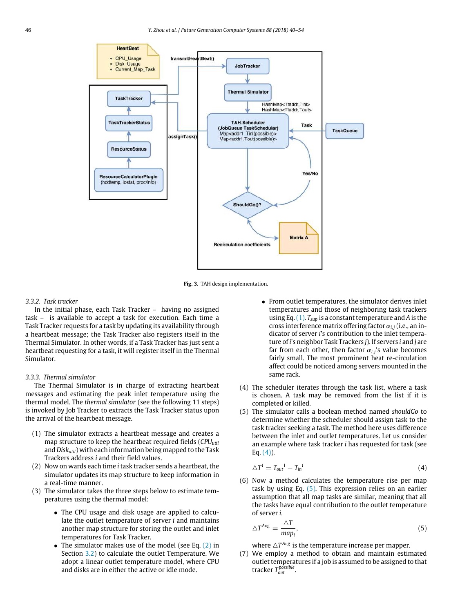<span id="page-6-0"></span>

**Fig. 3.** TAH design implementation.

# *3.3.2. Task tracker*

In the initial phase, each Task Tracker – having no assigned task – is available to accept a task for execution. Each time a Task Tracker requests for a task by updating its availability through a heartbeat message; the Task Tracker also registers itself in the Thermal Simulator. In other words, if a Task Tracker has just sent a heartbeat requesting for a task, it will register itself in the Thermal Simulator.

#### *3.3.3. Thermal simulator*

The Thermal Simulator is in charge of extracting heartbeat messages and estimating the peak inlet temperature using the thermal model. The *thermal simulator* (see the following 11 steps) is invoked by Job Tracker to extracts the Task Tracker status upon the arrival of the heartbeat message.

- (1) The simulator extracts a heartbeat message and creates a map structure to keep the heartbeat required fields (*CPUutil* and *Diskutil*) with each information being mapped to the Task Trackers address *i* and their field values.
- (2) Now on wards each time *i* task tracker sends a heartbeat, the simulator updates its map structure to keep information in a real-time manner.
- (3) The simulator takes the three steps below to estimate temperatures using the thermal model:
	- The CPU usage and disk usage are applied to calculate the outlet temperature of server *i* and maintains another map structure for storing the outlet and inlet temperatures for Task Tracker.
	- The simulator makes use of the model (see Eq.  $(2)$  in Section [3.2\)](#page-3-2) to calculate the outlet Temperature. We adopt a linear outlet temperature model, where CPU and disks are in either the active or idle mode.
- From outlet temperatures, the simulator derives inlet temperatures and those of neighboring task trackers using Eq.[\(1\).](#page-4-1) *Tsup* is a constant temperature and *A* is the cross interference matrix offering factor α*i*,*<sup>j</sup>* (i.e., an indicator of server *i*'s contribution to the inlet temperature of *i*'s neighbor Task Trackers *j*). If servers *i* and *j* are far from each other, then factor α*i*,*<sup>j</sup>* 's value becomes fairly small. The most prominent heat re-circulation affect could be noticed among servers mounted in the same rack.
- (4) The scheduler iterates through the task list, where a task is chosen. A task may be removed from the list if it is completed or killed.
- (5) The simulator calls a boolean method named *shouldGo* to determine whether the scheduler should assign task to the task tracker seeking a task. The method here uses difference between the inlet and outlet temperatures. Let us consider an example where task tracker *i* has requested for task (see Eq.  $(4)$ ).

<span id="page-6-1"></span>
$$
\Delta T^i = T_{out}^i - T_{in}^i \tag{4}
$$

(6) Now a method calculates the temperature rise per map task by using Eq. [\(5\).](#page-6-2) This expression relies on an earlier assumption that all map tasks are similar, meaning that all the tasks have equal contribution to the outlet temperature of server *i*.

<span id="page-6-2"></span>
$$
\Delta T^{Avg} = \frac{\Delta T}{map_i},\tag{5}
$$

where  $\triangle T^{Avg}$  is the temperature increase per mapper.

(7) We employ a method to obtain and maintain estimated outlet temperatures if a job is assumed to be assigned to that tracker *T possible out* .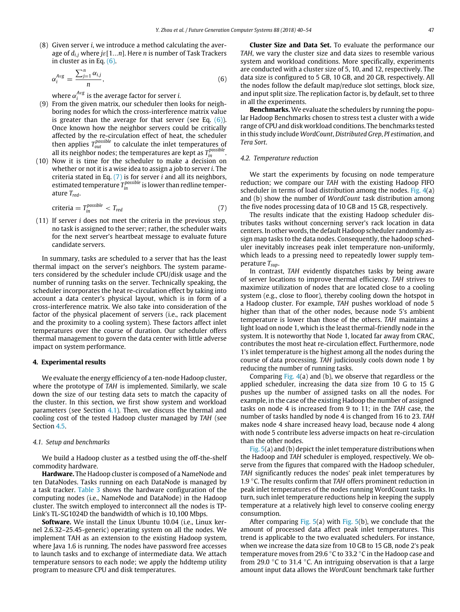(8) Given server *i*, we introduce a method calculating the average of *di*,*<sup>j</sup>* where *j*ε[1...*n*]. Here *n* is number of Task Trackers in cluster as in Eq. [\(6\).](#page-7-1)

<span id="page-7-1"></span>
$$
\alpha_i^{\text{Avg}} = \frac{\sum_{j=1}^n \alpha_{i,j}}{n},\tag{6}
$$

where  $\alpha_i^{Avg}$  is the average factor for server *i*.

- (9) From the given matrix, our scheduler then looks for neighboring nodes for which the cross-interference matrix value is greater than the average for that server (see Eq.  $(6)$ ). Once known how the neighbor servers could be critically affected by the re-circulation effect of heat, the scheduler then applies  $T_{out}^{possible}$  to calculate the inlet temperatures of all its neighbor nodes; the temperatures are kept as  $T_{in}^{possible}$ .
- (10) Now it is time for the scheduler to make a decision on whether or not it is a wise idea to assign a job to server *i*. The criteria stated in Eq. [\(7\)](#page-7-2) is for server *i* and all its neighbors, estimated temperature  $T_{in}^{possible}$  is lower than redline temperature *Tred*.

<span id="page-7-2"></span>
$$
criterion = T_{in}^{possible} < T_{red} \tag{7}
$$

(11) If server *i* does not meet the criteria in the previous step, no task is assigned to the server; rather, the scheduler waits for the next server's heartbeat message to evaluate future candidate servers.

In summary, tasks are scheduled to a server that has the least thermal impact on the server's neighbors. The system parameters considered by the scheduler include CPU/disk usage and the number of running tasks on the server. Technically speaking, the scheduler incorporates the heat re-circulation effect by taking into account a data center's physical layout, which is in form of a cross-interference matrix. We also take into consideration of the factor of the physical placement of servers (i.e., rack placement and the proximity to a cooling system). These factors affect inlet temperatures over the course of duration. Our scheduler offers thermal management to govern the data center with little adverse impact on system performance.

#### <span id="page-7-0"></span>**4. Experimental results**

We evaluate the energy efficiency of a ten-node Hadoop cluster, where the prototype of *TAH* is implemented. Similarly, we scale down the size of our testing data sets to match the capacity of the cluster. In this section, we first show system and workload parameters (see Section [4.1\)](#page-7-3). Then, we discuss the thermal and cooling cost of the tested Hadoop cluster managed by *TAH* (see Section [4.5.](#page-11-0)

#### <span id="page-7-3"></span>*4.1. Setup and benchmarks*

We build a Hadoop cluster as a testbed using the off-the-shelf commodity hardware.

**Hardware.** The Hadoop cluster is composed of a NameNode and ten DataNodes. Tasks running on each DataNode is managed by a task tracker. [Table 3](#page-8-0) shows the hardware configuration of the computing nodes (i.e., NameNode and DataNode) in the Hadoop cluster. The switch employed to interconnect all the nodes is TP-Link's TL-SG1024D the bandwidth of which is 10,100 Mbps.

**Software.** We install the Linux Ubuntu 10.04 (i.e., Linux kernel 2.6.32–25.45-generic) operating system on all the nodes. We implement TAH as an extension to the existing Hadoop system, where Java 1.6 is running. The nodes have password free accesses to launch tasks and to exchange of intermediate data. We attach temperature sensors to each node; we apply the hddtemp utility program to measure CPU and disk temperatures.

**Cluster Size and Data Set.** To evaluate the performance our *TAH*, we vary the cluster size and data sizes to resemble various system and workload conditions. More specifically, experiments are conducted with a cluster size of 5, 10, and 12, respectively. The data size is configured to 5 GB, 10 GB, and 20 GB, respectively. All the nodes follow the default map/reduce slot settings, block size, and input split size. The replication factor is, by default, set to three in all the experiments.

**Benchmarks.** We evaluate the schedulers by running the popular Hadoop Benchmarks chosen to stress test a cluster with a wide range of CPU and disk workload conditions. The benchmarks tested in this study include *WordCount*, *Distributed Grep*, *PI estimation*, and *Tera Sort*.

#### *4.2. Temperature reduction*

We start the experiments by focusing on node temperature reduction; we compare our *TAH* with the existing Hadoop FIFO scheduler in terms of load distribution among the nodes. [Fig. 4\(](#page-8-1)a) and (b) show the number of *WordCount* task distribution among the five nodes processing data of 10 GB and 15 GB, respectively.

The results indicate that the existing Hadoop scheduler distributes tasks without concerning server's rack location in data centers. In other words, the default Hadoop scheduler randomly assign map tasks to the data nodes. Consequently, the hadoop scheduler inevitably increases peak inlet temperature non-uniformly, which leads to a pressing need to repeatedly lower supply temperature *Tsup*.

In contrast, *TAH* evidently dispatches tasks by being aware of server locations to improve thermal efficiency. *TAH* strives to maximize utilization of nodes that are located close to a cooling system (e.g., close to floor), thereby cooling down the hotspot in a Hadoop cluster. For example, *TAH* pushes workload of node 5 higher than that of the other nodes, because node 5's ambient temperature is lower than those of the others. *TAH* maintains a light load on node 1, which is the least thermal-friendly node in the system. It is noteworthy that Node 1, located far away from CRAC, contributes the most heat re-circulation effect. Furthermore, node 1's inlet temperature is the highest among all the nodes during the course of data processing. *TAH* judiciously cools down node 1 by reducing the number of running tasks.

Comparing Fig.  $4(a)$  and (b), we observe that regardless or the applied scheduler, increasing the data size from 10 G to 15 G pushes up the number of assigned tasks on all the nodes. For example, in the case of the existing Hadoop the number of assigned tasks on node 4 is increased from 9 to 11; in the *TAH* case, the number of tasks handled by node 4 is changed from 16 to 23. *TAH* makes node 4 share increased heavy load, because node 4 along with node 5 contribute less adverse impacts on heat re-circulation than the other nodes.

[Fig. 5\(](#page-8-2)a) and (b) depict the inlet temperature distributions when the Hadoop and *TAH* scheduler is employed, respectively. We observe from the figures that compared with the Hadoop scheduler, *TAH* significantly reduces the nodes' peak inlet temperatures by 1.9 ◦C. The results confirm that *TAH* offers prominent reduction in peak inlet temperatures of the nodes running WordCount tasks. In turn, such inlet temperature reductions help in keeping the supply temperature at a relatively high level to conserve cooling energy consumption.

After comparing [Fig. 5\(](#page-8-2)a) with [Fig. 5\(](#page-8-2)b), we conclude that the amount of processed data affect peak inlet temperatures. This trend is applicable to the two evaluated schedulers. For instance, when we increase the data size from 10 GB to 15 GB, node 2's peak temperature moves from 29.6 ◦C to 33.2 ◦C in the Hadoop case and from 29.0 ◦C to 31.4 ◦C. An intriguing observation is that a large amount input data allows the *WordCount* benchmark take further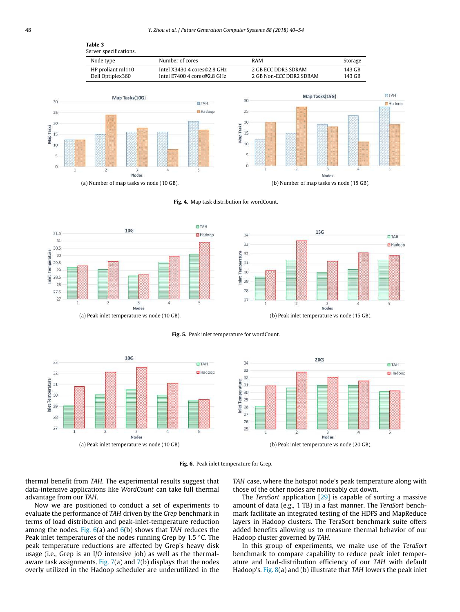<span id="page-8-1"></span><span id="page-8-0"></span>



<span id="page-8-2"></span>



<span id="page-8-3"></span>



thermal benefit from *TAH*. The experimental results suggest that data-intensive applications like *WordCount* can take full thermal advantage from our *TAH*.

Now we are positioned to conduct a set of experiments to evaluate the performance of *TAH* driven by the *Grep* benchmark in terms of load distribution and peak-inlet-temperature reduction among the nodes. [Fig. 6\(](#page-8-3)a) and [6\(](#page-8-3)b) shows that *TAH* reduces the Peak inlet temperatures of the nodes running Grep by 1.5 ◦C. The peak temperature reductions are affected by Grep's heavy disk usage (i.e., Grep is an I/O intensive job) as well as the thermalaware task assignments. Fig.  $7(a)$  $7(a)$  and  $7(b)$  displays that the nodes overly utilized in the Hadoop scheduler are underutilized in the

*TAH* case, where the hotspot node's peak temperature along with those of the other nodes are noticeably cut down.

The *TeraSort* application [\[29\]](#page-13-30) is capable of sorting a massive amount of data (e.g., 1 TB) in a fast manner. The *TeraSort* benchmark facilitate an integrated testing of the HDFS and MapReduce layers in Hadoop clusters. The TeraSort benchmark suite offers added benefits allowing us to measure thermal behavior of our Hadoop cluster governed by *TAH*.

In this group of experiments, we make use of the *TeraSort* benchmark to compare capability to reduce peak inlet temperature and load-distribution efficiency of our *TAH* with default Hadoop's. [Fig. 8\(](#page-9-1)a) and (b) illustrate that *TAH* lowers the peak inlet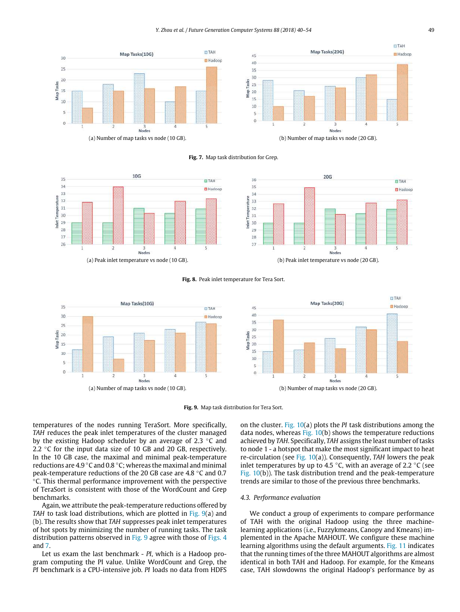<span id="page-9-0"></span>

<span id="page-9-1"></span> $20$ 

 $\overline{a}$ 

33

32

 $31$ nlet Temper

 $30$ 

 $26$ 

 $28$ 

 $\overline{27}$ 

26





Node

**Fig. 7.** Map task distribution for Grep.



20G

#### **Fig. 8.** Peak inlet temperature for Tera Sort.

<span id="page-9-2"></span>

**Fig. 9.** Map task distribution for Tera Sort.

temperatures of the nodes running TeraSort. More specifically, *TAH* reduces the peak inlet temperatures of the cluster managed by the existing Hadoop scheduler by an average of 2.3 ◦C and 2.2  $\degree$ C for the input data size of 10 GB and 20 GB, respectively. In the 10 GB case, the maximal and minimal peak-temperature reductions are 4.9 ◦C and 0.8 ◦C; whereas the maximal and minimal peak-temperature reductions of the 20 GB case are 4.8 ◦C and 0.7 ◦C. This thermal performance improvement with the perspective of TeraSort is consistent with those of the WordCount and Grep benchmarks.

Again, we attribute the peak-temperature reductions offered by *TAH* to task load distributions, which are plotted in [Fig. 9\(](#page-9-2)a) and (b). The results show that *TAH* suppresses peak inlet temperatures of hot spots by minimizing the number of running tasks. The task distribution patterns observed in [Fig. 9](#page-9-2) agree with those of [Figs. 4](#page-8-1) and [7.](#page-9-0)

Let us exam the last benchmark - *PI*, which is a Hadoop program computing the PI value. Unlike WordCount and Grep, the *PI* benchmark is a CPU-intensive job. *PI* loads no data from HDFS on the cluster. [Fig. 10\(](#page-10-0)a) plots the *PI* task distributions among the data nodes, whereas  $Fig. 10(b)$  $Fig. 10(b)$  shows the temperature reductions achieved by *TAH*. Specifically, *TAH* assigns the least number of tasks to node 1 - a hotspot that make the most significant impact to heat re-circulation (see [Fig. 10\(](#page-10-0)a)). Consequently, *TAH* lowers the peak inlet temperatures by up to 4.5  $\degree$ C, with an average of 2.2  $\degree$ C (see [Fig. 10\(](#page-10-0)b)). The task distribution trend and the peak-temperature trends are similar to those of the previous three benchmarks.

#### *4.3. Performance evaluation*

We conduct a group of experiments to compare performance of TAH with the original Hadoop using the three machinelearning applications (i.e., Fuzzykmeans, Canopy and Kmeans) implemented in the Apache MAHOUT. We configure these machine learning algorithms using the default arguments. [Fig. 11](#page-10-1) indicates that the running times of the three MAHOUT algorithms are almost identical in both TAH and Hadoop. For example, for the Kmeans case, TAH slowdowns the original Hadoop's performance by as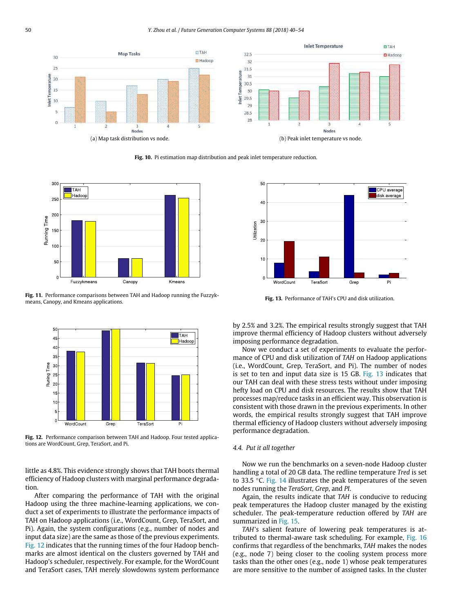<span id="page-10-0"></span>



**Fig. 10.** Pi estimation map distribution and peak inlet temperature reduction.

<span id="page-10-1"></span>

**Fig. 11.** Performance comparisons between TAH and Hadoop running the Fuzzykmeans, Canopy, and Kmeans applications.

<span id="page-10-2"></span>

**Fig. 12.** Performance comparison between TAH and Hadoop. Four tested applications are WordCount, Grep, TeraSort, and Pi.

little as 4.8%. This evidence strongly shows that TAH boots thermal efficiency of Hadoop clusters with marginal performance degradation.

After comparing the performance of TAH with the original Hadoop using the three machine-learning applications, we conduct a set of experiments to illustrate the performance impacts of TAH on Hadoop applications (i.e., WordCount, Grep, TeraSort, and Pi). Again, the system configurations (e.g., number of nodes and input data size) are the same as those of the previous experiments. [Fig. 12](#page-10-2) indicates that the running times of the four Hadoop benchmarks are almost identical on the clusters governed by TAH and Hadoop's scheduler, respectively. For example, for the WordCount and TeraSort cases, TAH merely slowdowns system performance

<span id="page-10-3"></span>

**Fig. 13.** Performance of TAH's CPU and disk utilization.

by 2.5% and 3.2%. The empirical results strongly suggest that TAH improve thermal efficiency of Hadoop clusters without adversely imposing performance degradation.

Now we conduct a set of experiments to evaluate the performance of CPU and disk utilization of *TAH* on Hadoop applications (i.e., WordCount, Grep, TeraSort, and Pi). The number of nodes is set to ten and input data size is 15 GB. [Fig. 13](#page-10-3) indicates that our TAH can deal with these stress tests without under imposing hefty load on CPU and disk resources. The results show that TAH processes map/reduce tasks in an efficient way. This observation is consistent with those drawn in the previous experiments. In other words, the empirical results strongly suggest that TAH improve thermal efficiency of Hadoop clusters without adversely imposing performance degradation.

#### *4.4. Put it all together*

Now we run the benchmarks on a seven-node Hadoop cluster handling a total of 20 GB data. The redline temperature *Tred* is set to 33.5 °C. [Fig. 14](#page-11-1) illustrates the peak temperatures of the seven nodes running the *TeraSort*, *Grep*, and *PI*.

Again, the results indicate that *TAH* is conducive to reducing peak temperatures the Hadoop cluster managed by the existing scheduler. The peak-temperature reduction offered by *TAH* are summarized in [Fig. 15.](#page-11-2)

*TAH*'s salient feature of lowering peak temperatures is attributed to thermal-aware task scheduling. For example, [Fig. 16](#page-11-3) confirms that regardless of the benchmarks, *TAH* makes the nodes (e.g., node 7) being closer to the cooling system process more tasks than the other ones (e.g., node 1) whose peak temperatures are more sensitive to the number of assigned tasks. In the cluster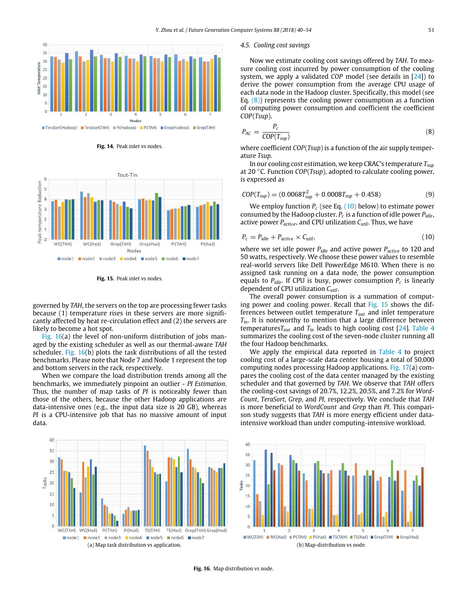<span id="page-11-1"></span>

**Fig. 14.** Peak inlet vs nodes.

<span id="page-11-2"></span>

**Fig. 15.** Peak inlet vs nodes.

governed by *TAH*, the servers on the top are processing fewer tasks because (1) temperature rises in these servers are more significantly affected by heat re-circulation effect and (2) the servers are likely to become a hot spot.

[Fig. 16\(](#page-11-3)a) the level of non-uniform distribution of jobs managed by the existing scheduler as well as our thermal-aware *TAH* scheduler. [Fig. 16\(](#page-11-3)b) plots the task distributions of all the tested benchmarks. Please note that Node 7 and Node 1 represent the top and bottom servers in the rack, respectively.

When we compare the load distribution trends among all the benchmarks, we immediately pinpoint an outlier - *PI Estimation*. Thus, the number of map tasks of *PI* is noticeably fewer than those of the others, because the other Hadoop applications are data-intensive ones (e.g., the input data size is 20 GB), whereas *PI* is a CPU-intensive job that has no massive amount of input data.

<span id="page-11-3"></span><span id="page-11-0"></span>

#### *4.5. Cooling cost savings*

Now we estimate cooling cost savings offered by *TAH*. To measure cooling cost incurred by power consumption of the cooling system, we apply a validated *COP* model (see details in [\[24\]](#page-13-25)) to derive the power consumption from the average CPU usage of each data node in the Hadoop cluster. Specifically, this model (see Eq.  $(8)$ ) represents the cooling power consumption as a function of computing power consumption and coefficient the coefficient *COP*(*Tsup*).

<span id="page-11-4"></span>
$$
P_{AC} = \frac{P_c}{COP(T_{sup})}
$$
\n(8)

where coefficient *COP*(*Tsup*) is a function of the air supply temperature *Tsup*.

In our cooling cost estimation, we keep CRAC's temperature *Tsup* at 20 ◦C. Function *COP*(*Tsup*), adopted to calculate cooling power, is expressed as

$$
COP(T_{sup}) = (0.0068T_{sup}^2 + 0.0008T_{sup} + 0.458)
$$
\n(9)

We employ function *P<sup>c</sup>* (see Eq. [\(10\)](#page-11-5) below) to estimate power consumed by the Hadoop cluster. *P<sup>c</sup>* is a function of idle power *Pidle*, active power *Pacti*v*<sup>e</sup>* , and CPU utilization *Cutil*. Thus, we have

<span id="page-11-5"></span>
$$
P_c = P_{idle} + P_{active} \times C_{util}, \qquad (10)
$$

where we set idle power *Pidle* and active power *Pacti*v*<sup>e</sup>* to 120 and 50 watts, respectively. We choose these power values to resemble real-world servers like Dell PowerEdge M610. When there is no assigned task running on a data node, the power consumption equals to *Pidle*. If CPU is busy, power consumption *P<sup>c</sup>* is linearly dependent of CPU utilization *Cutil*.

The overall power consumption is a summation of computing power and cooling power. Recall that [Fig. 15](#page-11-2) shows the differences between outlet temperature *Tout* and inlet temperature *Tin*. It is noteworthy to mention that a large difference between temperatures $T_{out}$  and  $T_{in}$  leads to high cooling cost [\[24\]](#page-13-25). [Table 4](#page-12-2) summarizes the cooling cost of the seven-node cluster running all the four Hadoop benchmarks.

We apply the empirical data reported in [Table 4](#page-12-2) to project cooling cost of a large-scale data center housing a total of 50,000 computing nodes processing Hadoop applications. [Fig. 17\(](#page-12-3)a) compares the cooling cost of the data center managed by the existing scheduler and that governed by *TAH*. We observe that *TAH* offers the cooling-cost savings of 20.7%, 12.2%, 20.5%, and 7.2% for *Word-Count*, *TeraSort*, *Grep*, and *PI*, respectively. We conclude that *TAH* is more beneficial to *WordCount* and *Grep* than *PI*. This comparison study suggests that *TAH* is more energy efficient under dataintensive workload than under computing-intensive workload.



**Fig. 16.** Map distribution vs node.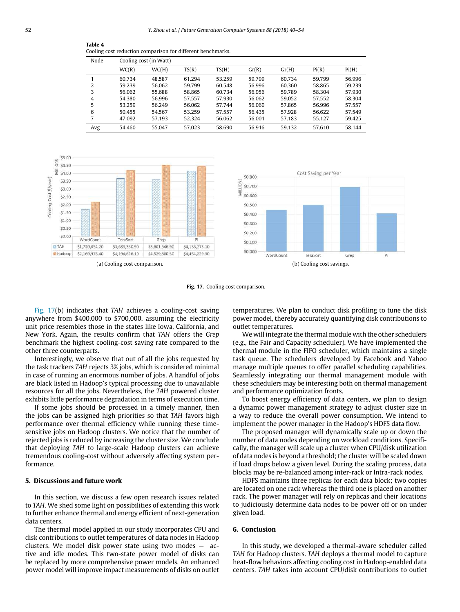<span id="page-12-2"></span>

| Table 4<br>Cooling cost reduction comparison for different benchmarks. |                        |  |  |  |
|------------------------------------------------------------------------|------------------------|--|--|--|
| Node                                                                   | Cooling cost (in Watt) |  |  |  |

| inode | Cooling cost (in Watt) |        |        |        |        |        |        |        |
|-------|------------------------|--------|--------|--------|--------|--------|--------|--------|
|       | WC(R)                  | WC(H)  | TS(R)  | TS(H)  | Gr(R)  | Gr(H)  | Pi(R)  | Pi(H)  |
|       | 60.734                 | 48.587 | 61.294 | 53.259 | 59.799 | 60.734 | 59.799 | 56.996 |
|       | 59.239                 | 56.062 | 59.799 | 60.548 | 56.996 | 60.360 | 58.865 | 59.239 |
| 3     | 56.062                 | 55.688 | 58.865 | 60.734 | 56.956 | 59.789 | 58.304 | 57.930 |
| 4     | 54.380                 | 56.996 | 57.557 | 57.930 | 56.062 | 59.052 | 57.552 | 58.304 |
| 5     | 53.259                 | 56.249 | 56.062 | 57.744 | 56.060 | 57.865 | 56.996 | 57.557 |
| 6     | 50.455                 | 54.567 | 53.259 | 57.557 | 56.435 | 57.928 | 56.622 | 57.549 |
|       | 47.092                 | 57.193 | 52.324 | 56.062 | 56.001 | 57.183 | 55.127 | 59.425 |
| Avg   | 54.460                 | 55.047 | 57.023 | 58.690 | 56.916 | 59.132 | 57.610 | 58.144 |

<span id="page-12-3"></span>



**Fig. 17.** Cooling cost comparison.

[Fig. 17\(](#page-12-3)b) indicates that *TAH* achieves a cooling-cost saving anywhere from \$400,000 to \$700,000, assuming the electricity unit price resembles those in the states like Iowa, California, and New York. Again, the results confirm that *TAH* offers the *Grep* benchmark the highest cooling-cost saving rate compared to the other three counterparts.

Interestingly, we observe that out of all the jobs requested by the task trackers *TAH* rejects 3% jobs, which is considered minimal in case of running an enormous number of jobs. A handful of jobs are black listed in Hadoop's typical processing due to unavailable resources for all the jobs. Nevertheless, the *TAH* powered cluster exhibits little performance degradation in terms of execution time.

If some jobs should be processed in a timely manner, then the jobs can be assigned high priorities so that *TAH* favors high performance over thermal efficiency while running these timesensitive jobs on Hadoop clusters. We notice that the number of rejected jobs is reduced by increasing the cluster size. We conclude that deploying *TAH* to large-scale Hadoop clusters can achieve tremendous cooling-cost without adversely affecting system performance.

# <span id="page-12-0"></span>**5. Discussions and future work**

In this section, we discuss a few open research issues related to *TAH*. We shed some light on possibilities of extending this work to further enhance thermal and energy efficient of next-generation data centers.

The thermal model applied in our study incorporates CPU and disk contributions to outlet temperatures of data nodes in Hadoop clusters. We model disk power state using two modes — active and idle modes. This two-state power model of disks can be replaced by more comprehensive power models. An enhanced power model will improve impact measurements of disks on outlet temperatures. We plan to conduct disk profiling to tune the disk power model, thereby accurately quantifying disk contributions to outlet temperatures.

We will integrate the thermal module with the other schedulers (e.g., the Fair and Capacity scheduler). We have implemented the thermal module in the FIFO scheduler, which maintains a single task queue. The schedulers developed by Facebook and Yahoo manage multiple queues to offer parallel scheduling capabilities. Seamlessly integrating our thermal management module with these schedulers may be interesting both on thermal management and performance optimization fronts.

To boost energy efficiency of data centers, we plan to design a dynamic power management strategy to adjust cluster size in a way to reduce the overall power consumption. We intend to implement the power manager in the Hadoop's HDFS data flow.

The proposed manager will dynamically scale up or down the number of data nodes depending on workload conditions. Specifically, the manager will scale up a cluster when CPU/disk utilization of data nodes is beyond a threshold; the cluster will be scaled down if load drops below a given level. During the scaling process, data blocks may be re-balanced among inter-rack or Intra-rack nodes.

HDFS maintains three replicas for each data block; two copies are located on one rack whereas the third one is placed on another rack. The power manager will rely on replicas and their locations to judiciously determine data nodes to be power off or on under given load.

# <span id="page-12-1"></span>**6. Conclusion**

In this study, we developed a thermal-aware scheduler called *TAH* for Hadoop clusters. *TAH* deploys a thermal model to capture heat-flow behaviors affecting cooling cost in Hadoop-enabled data centers. *TAH* takes into account CPU/disk contributions to outlet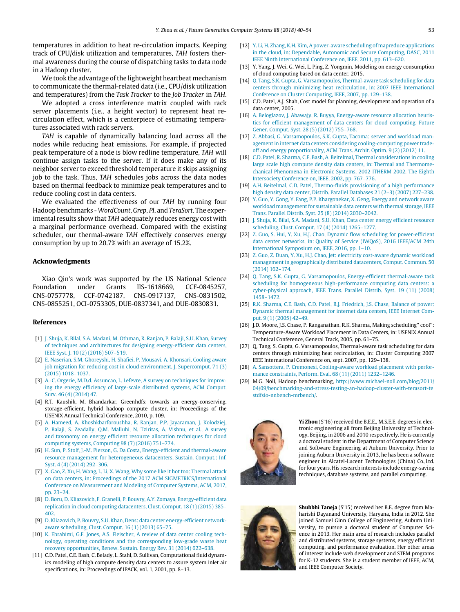temperatures in addition to heat re-circulation impacts. Keeping track of CPU/disk utilization and temperatures, *TAH* fosters thermal awareness during the course of dispatching tasks to data node in a Hadoop cluster.

We took the advantage of the lightweight heartbeat mechanism to communicate the thermal-related data (i.e., CPU/disk utilization and temperatures) from the *Task Tracker* to the *Job Tracker* in *TAH*.

We adopted a cross interference matrix coupled with rack server placements (i.e., a height vector) to represent heat recirculation effect, which is a centerpiece of estimating temperatures associated with rack servers.

*TAH* is capable of dynamically balancing load across all the nodes while reducing heat emissions. For example, if projected peak temperature of a node is blow redline temperature, *TAH* will continue assign tasks to the server. If it does make any of its neighbor server to exceed threshold temperature it skips assigning job to the task. Thus, *TAH* schedules jobs across the data nodes based on thermal feedback to minimize peak temperatures and to reduce cooling cost in data centers.

We evaluated the effectiveness of our *TAH* by running four Hadoop benchmarks - *WordCount*, *Grep*, *PI*, and *TeraSort*. The experimental results show that *TAH* adequately reduces energy cost with a marginal performance overhead. Compared with the existing scheduler, our thermal-aware *TAH* effectively conserves energy consumption by up to 20.7% with an average of 15.2%.

#### **Acknowledgments**

Xiao Qin's work was supported by the US National Science Foundation under Grants IIS-1618669, CCF-0845257, CNS-0757778, CCF-0742187, CNS-0917137, CNS-0831502, CNS-0855251, OCI-0753305, DUE-0837341, and DUE-0830831.

#### **References**

- <span id="page-13-2"></span>[1] [J. Shuja, K. Bilal, S.A. Madani, M. Othman, R. Ranjan, P. Balaji, S.U. Khan, Survey](http://refhub.elsevier.com/S0167-739X(17)30118-8/sb1) [of techniques and architectures for designing energy-efficient data centers,](http://refhub.elsevier.com/S0167-739X(17)30118-8/sb1) [IEEE Syst. J. 10 \(2\) \(2016\) 507–519.](http://refhub.elsevier.com/S0167-739X(17)30118-8/sb1)
- <span id="page-13-3"></span>[2] [E. Naserian, S.M. Ghoreyshi, H. Shafiei, P. Mousavi, A. Khonsari, Cooling aware](http://refhub.elsevier.com/S0167-739X(17)30118-8/sb2) [job migration for reducing cost in cloud environment, J. Supercomput. 71 \(3\)](http://refhub.elsevier.com/S0167-739X(17)30118-8/sb2) [\(2015\) 1018–1037.](http://refhub.elsevier.com/S0167-739X(17)30118-8/sb2)
- <span id="page-13-4"></span>[3] [A.-C. Orgerie, M.D.d. Assuncao, L. Lefevre, A survey on techniques for improv](http://refhub.elsevier.com/S0167-739X(17)30118-8/sb3)[ing the energy efficiency of large-scale distributed systems, ACM Comput.](http://refhub.elsevier.com/S0167-739X(17)30118-8/sb3) [Surv. 46 \(4\) \(2014\) 47.](http://refhub.elsevier.com/S0167-739X(17)30118-8/sb3)
- <span id="page-13-5"></span>[4] R.T. Kaushik, M. Bhandarkar, Greenhdfs: towards an energy-conserving, storage-efficient, hybrid hadoop compute cluster, in: Proceedings of the USENIX Annual Technical Conference, 2010, p. 109.
- <span id="page-13-6"></span>[5] [A. Hameed, A. Khoshkbarforoushha, R. Ranjan, P.P. Jayaraman, J. Kolodziej,](http://refhub.elsevier.com/S0167-739X(17)30118-8/sb5) [P. Balaji, S. Zeadally, Q.M. Malluhi, N. Tziritas, A. Vishnu, et al., A survey](http://refhub.elsevier.com/S0167-739X(17)30118-8/sb5) [and taxonomy on energy efficient resource allocation techniques for cloud](http://refhub.elsevier.com/S0167-739X(17)30118-8/sb5) [computing systems, Computing 98 \(7\) \(2016\) 751–774.](http://refhub.elsevier.com/S0167-739X(17)30118-8/sb5)
- <span id="page-13-7"></span>[6] [H. Sun, P. Stolf, J.-M. Pierson, G. Da Costa, Energy-efficient and thermal-aware](http://refhub.elsevier.com/S0167-739X(17)30118-8/sb6) [resource management for heterogeneous datacenters, Sustain. Comput.: Inf.](http://refhub.elsevier.com/S0167-739X(17)30118-8/sb6) [Syst. 4 \(4\) \(2014\) 292–306.](http://refhub.elsevier.com/S0167-739X(17)30118-8/sb6)
- <span id="page-13-8"></span>[7] [X. Gao, Z. Xu, H. Wang, L. Li, X. Wang, Why some like it hot too: Thermal attack](http://refhub.elsevier.com/S0167-739X(17)30118-8/sb7) [on data centers, in: Proceedings of the 2017 ACM SIGMETRICS/International](http://refhub.elsevier.com/S0167-739X(17)30118-8/sb7) [Conference on Measurement and Modeling of Computer Systems, ACM, 2017,](http://refhub.elsevier.com/S0167-739X(17)30118-8/sb7) [pp. 23–24.](http://refhub.elsevier.com/S0167-739X(17)30118-8/sb7)
- <span id="page-13-9"></span>[8] [D. Boru, D. Kliazovich, F. Granelli, P. Bouvry, A.Y. Zomaya, Energy-efficient data](http://refhub.elsevier.com/S0167-739X(17)30118-8/sb8) [replication in cloud computing datacenters, Clust. Comput. 18 \(1\) \(2015\) 385–](http://refhub.elsevier.com/S0167-739X(17)30118-8/sb8) [402.](http://refhub.elsevier.com/S0167-739X(17)30118-8/sb8)
- <span id="page-13-10"></span>[9] [D. Kliazovich, P. Bouvry, S.U. Khan, Dens: data center energy-efficient network](http://refhub.elsevier.com/S0167-739X(17)30118-8/sb9)[aware scheduling, Clust. Comput. 16 \(1\) \(2013\) 65–75.](http://refhub.elsevier.com/S0167-739X(17)30118-8/sb9)
- <span id="page-13-11"></span>[\[](http://refhub.elsevier.com/S0167-739X(17)30118-8/sb10)10] [K. Ebrahimi, G.F. Jones, A.S. Fleischer, A review of data center cooling tech](http://refhub.elsevier.com/S0167-739X(17)30118-8/sb10)[nology, operating conditions and the corresponding low-grade waste heat](http://refhub.elsevier.com/S0167-739X(17)30118-8/sb10) [recovery opportunities, Renew. Sustain. Energy Rev. 31 \(2014\) 622–638.](http://refhub.elsevier.com/S0167-739X(17)30118-8/sb10)
- <span id="page-13-12"></span>[11] C.D. Patel, C.E. Bash, C. Belady, L. Stahl, D. Sullivan, Computational fluid dynamics modeling of high compute density data centers to assure system inlet air specifications, in: Proceedings of IPACK, vol. 1, 2001, pp. 8–13.
- <span id="page-13-13"></span>[\[](http://refhub.elsevier.com/S0167-739X(17)30118-8/sb12)12] [Y. Li, H. Zhang, K.H. Kim, A power-aware scheduling of mapreduce applications](http://refhub.elsevier.com/S0167-739X(17)30118-8/sb12) [in the cloud, in: Dependable, Autonomic and Secure Computing, DASC, 2011](http://refhub.elsevier.com/S0167-739X(17)30118-8/sb12) [IEEE Ninth International Conference on, IEEE, 2011, pp. 613–620.](http://refhub.elsevier.com/S0167-739X(17)30118-8/sb12)
- <span id="page-13-14"></span>[13] Y. Yang, J. Wei, G. Wei, L. Ping, Z. Yongmin, Modeling on energy consumption of cloud computing based on data center, 2015.
- <span id="page-13-15"></span>[\[](http://refhub.elsevier.com/S0167-739X(17)30118-8/sb14)14] [Q. Tang, S.K. Gupta, G. Varsamopoulos, Thermal-aware task scheduling for data](http://refhub.elsevier.com/S0167-739X(17)30118-8/sb14) [centers through minimizing heat recirculation, in: 2007 IEEE International](http://refhub.elsevier.com/S0167-739X(17)30118-8/sb14) [Conference on Cluster Computing, IEEE, 2007, pp. 129–138.](http://refhub.elsevier.com/S0167-739X(17)30118-8/sb14)
- <span id="page-13-16"></span>[15] C.D. Patel, A.J. Shah, Cost model for planning, development and operation of a data center, 2005.
- <span id="page-13-17"></span>[\[](http://refhub.elsevier.com/S0167-739X(17)30118-8/sb16)16] [A. Beloglazov, J. Abawajy, R. Buyya, Energy-aware resource allocation heuris](http://refhub.elsevier.com/S0167-739X(17)30118-8/sb16)[tics for efficient management of data centers for cloud computing, Future](http://refhub.elsevier.com/S0167-739X(17)30118-8/sb16) [Gener. Comput. Syst. 28 \(5\) \(2012\) 755–768.](http://refhub.elsevier.com/S0167-739X(17)30118-8/sb16)
- <span id="page-13-18"></span>[\[](http://refhub.elsevier.com/S0167-739X(17)30118-8/sb17)17] [Z. Abbasi, G. Varsamopoulos, S.K. Gupta, Tacoma: server and workload man](http://refhub.elsevier.com/S0167-739X(17)30118-8/sb17)[agement in internet data centers considering cooling-computing power trade](http://refhub.elsevier.com/S0167-739X(17)30118-8/sb17)[off and energy proportionality, ACM Trans. Archit. Optim. 9 \(2\) \(2012\) 11.](http://refhub.elsevier.com/S0167-739X(17)30118-8/sb17)
- <span id="page-13-19"></span>[\[](http://refhub.elsevier.com/S0167-739X(17)30118-8/sb18)18] [C.D. Patel, R. Sharma, C.E. Bash, A. Beitelmal, Thermal considerations in cooling](http://refhub.elsevier.com/S0167-739X(17)30118-8/sb18) [large scale high compute density data centers, in: Thermal and Thermome](http://refhub.elsevier.com/S0167-739X(17)30118-8/sb18)[chanical Phenomena in Electronic Systems, 2002 ITHERM 2002. The Eighth](http://refhub.elsevier.com/S0167-739X(17)30118-8/sb18) [Intersociety Conference on, IEEE, 2002, pp. 767–776.](http://refhub.elsevier.com/S0167-739X(17)30118-8/sb18)
- <span id="page-13-20"></span>[\[](http://refhub.elsevier.com/S0167-739X(17)30118-8/sb19)19] [A.H. Beitelmal, C.D. Patel, Thermo-fluids provisioning of a high performance](http://refhub.elsevier.com/S0167-739X(17)30118-8/sb19) high density data center, Distrib. Parallel Databases 21 (2-3) (2007) 227-238.
- <span id="page-13-21"></span>[\[](http://refhub.elsevier.com/S0167-739X(17)30118-8/sb20)20] [Y. Guo, Y. Gong, Y. Fang, P.P. Khargonekar, X. Geng, Energy and network aware](http://refhub.elsevier.com/S0167-739X(17)30118-8/sb20) [workload management for sustainable data centers with thermal storage, IEEE](http://refhub.elsevier.com/S0167-739X(17)30118-8/sb20) [Trans. Parallel Distrib. Syst. 25 \(8\) \(2014\) 2030–2042.](http://refhub.elsevier.com/S0167-739X(17)30118-8/sb20)
- <span id="page-13-22"></span>[\[](http://refhub.elsevier.com/S0167-739X(17)30118-8/sb21)21] [J. Shuja, K. Bilal, S.A. Madani, S.U. Khan, Data center energy efficient resource](http://refhub.elsevier.com/S0167-739X(17)30118-8/sb21) [scheduling, Clust. Comput. 17 \(4\) \(2014\) 1265–1277.](http://refhub.elsevier.com/S0167-739X(17)30118-8/sb21)
- <span id="page-13-23"></span>[\[](http://refhub.elsevier.com/S0167-739X(17)30118-8/sb22)22] [Z. Guo, S. Hui, Y. Xu, H.J. Chao, Dynamic flow scheduling for power-efficient](http://refhub.elsevier.com/S0167-739X(17)30118-8/sb22) [data center networks, in: Quality of Service \(IWQoS\), 2016 IEEE/ACM 24th](http://refhub.elsevier.com/S0167-739X(17)30118-8/sb22) [International Symposium on, IEEE, 2016, pp. 1–10.](http://refhub.elsevier.com/S0167-739X(17)30118-8/sb22)
- <span id="page-13-24"></span>[\[](http://refhub.elsevier.com/S0167-739X(17)30118-8/sb23)23] [Z. Guo, Z. Duan, Y. Xu, H.J. Chao, Jet: electricity cost-aware dynamic workload](http://refhub.elsevier.com/S0167-739X(17)30118-8/sb23) [management in geographically distributed datacenters, Comput. Commun. 50](http://refhub.elsevier.com/S0167-739X(17)30118-8/sb23) [\(2014\) 162–174.](http://refhub.elsevier.com/S0167-739X(17)30118-8/sb23)
- <span id="page-13-25"></span>[\[](http://refhub.elsevier.com/S0167-739X(17)30118-8/sb24)24] [Q. Tang, S.K. Gupta, G. Varsamopoulos, Energy-efficient thermal-aware task](http://refhub.elsevier.com/S0167-739X(17)30118-8/sb24) [scheduling for homogeneous high-performance computing data centers: a](http://refhub.elsevier.com/S0167-739X(17)30118-8/sb24) [cyber-physical approach, IEEE Trans. Parallel Distrib. Syst. 19 \(11\) \(2008\)](http://refhub.elsevier.com/S0167-739X(17)30118-8/sb24) [1458–1472.](http://refhub.elsevier.com/S0167-739X(17)30118-8/sb24)
- <span id="page-13-26"></span>[\[](http://refhub.elsevier.com/S0167-739X(17)30118-8/sb25)25] [R.K. Sharma, C.E. Bash, C.D. Patel, R.J. Friedrich, J.S. Chase, Balance of power:](http://refhub.elsevier.com/S0167-739X(17)30118-8/sb25) [Dynamic thermal management for internet data centers, IEEE Internet Com](http://refhub.elsevier.com/S0167-739X(17)30118-8/sb25)[put. 9 \(1\) \(2005\) 42–49.](http://refhub.elsevier.com/S0167-739X(17)30118-8/sb25)
- <span id="page-13-27"></span>[26] J.D. Moore, J.S. Chase, P. Ranganathan, R.K. Sharma, Making scheduling'' cool'': Temperature-Aware Workload Placement in Data Centers, in: USENIX Annual Technical Conference, General Track, 2005, pp. 61–75.
- <span id="page-13-28"></span>[27] Q. Tang, S. Gupta, G. Varsamopoulos, Thermal-aware task scheduling for data centers through minimizing heat recirculation, in: Cluster Computing 2007 IEEE International Conference on, sept. 2007, pp. 129–138.
- <span id="page-13-29"></span>[\[](http://refhub.elsevier.com/S0167-739X(17)30118-8/sb28)28] [A. Sansottera, P. Cremonesi, Cooling-aware workload placement with perfor](http://refhub.elsevier.com/S0167-739X(17)30118-8/sb28)[mance constraints, Perform. Eval. 68 \(11\) \(2011\) 1232–1246.](http://refhub.elsevier.com/S0167-739X(17)30118-8/sb28)
- <span id="page-13-30"></span>[29] M.G. Noll, Hadoop benchmarking, [http://www.michael-noll.com/blog/2011/](http://www.michael-noll.com/blog/2011/04/09/benchmarking-and-stress-testing-an-hadoop-cluster-with-terasort-testdfsio-nnbench-mrbench/) [04/09/benchmarking-and-stress-testing-an-hadoop-cluster-with-terasort-te](http://www.michael-noll.com/blog/2011/04/09/benchmarking-and-stress-testing-an-hadoop-cluster-with-terasort-testdfsio-nnbench-mrbench/) [stdfsio-nnbench-mrbench/.](http://www.michael-noll.com/blog/2011/04/09/benchmarking-and-stress-testing-an-hadoop-cluster-with-terasort-testdfsio-nnbench-mrbench/)

<span id="page-13-0"></span>

**Yi Zhou** (S'16) received the B.E.E., M.S.E.E. degrees in electronic engineering all from Beijing University of Technology, Beijing, in 2006 and 2010 respectively. He is currently a doctoral student in the Department of Computer Science and Software Engineering at Auburn University. Prior to joining Auburn University in 2013, he has been a software engineer in Alcatel-Lucent Technologies (China) Co.,Ltd. for four years. His research interests include energy-saving techniques, database systems, and parallel computing.



<span id="page-13-1"></span>**Shubbhi Taneja** (S'15) received her B.E. degree from Maharishi Dayanand University, Haryana, India in 2012. She joined Samuel Ginn College of Engineering, Auburn University, to pursue a doctoral student of Computer Science in 2013. Her main area of research includes parallel and distributed systems, storage systems, energy efficient computing, and performance evaluation. Her other areas of interest include web development and STEM programs for K-12 students. She is a student member of IEEE, ACM, and IEEE Computer Society.